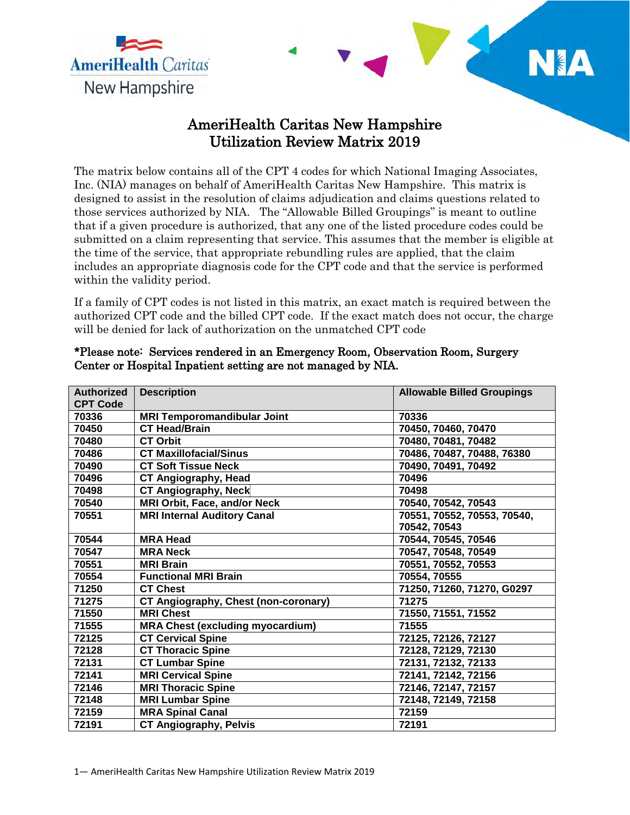

## AmeriHealth Caritas New Hampshire Utilization Review Matrix 2019

NA

The matrix below contains all of the CPT 4 codes for which National Imaging Associates, Inc. (NIA) manages on behalf of AmeriHealth Caritas New Hampshire. This matrix is designed to assist in the resolution of claims adjudication and claims questions related to those services authorized by NIA. The "Allowable Billed Groupings" is meant to outline that if a given procedure is authorized, that any one of the listed procedure codes could be submitted on a claim representing that service. This assumes that the member is eligible at the time of the service, that appropriate rebundling rules are applied, that the claim includes an appropriate diagnosis code for the CPT code and that the service is performed within the validity period.

If a family of CPT codes is not listed in this matrix, an exact match is required between the authorized CPT code and the billed CPT code. If the exact match does not occur, the charge will be denied for lack of authorization on the unmatched CPT code

| <b>Authorized</b> | <b>Description</b>                      | <b>Allowable Billed Groupings</b> |
|-------------------|-----------------------------------------|-----------------------------------|
| <b>CPT Code</b>   |                                         |                                   |
| 70336             | <b>MRI Temporomandibular Joint</b>      | 70336                             |
| 70450             | <b>CT Head/Brain</b>                    | 70450, 70460, 70470               |
| 70480             | <b>CT Orbit</b>                         | 70480, 70481, 70482               |
| 70486             | <b>CT Maxillofacial/Sinus</b>           | 70486, 70487, 70488, 76380        |
| 70490             | <b>CT Soft Tissue Neck</b>              | 70490, 70491, 70492               |
| 70496             | <b>CT Angiography, Head</b>             | 70496                             |
| 70498             | <b>CT Angiography, Neck</b>             | 70498                             |
| 70540             | <b>MRI Orbit, Face, and/or Neck</b>     | 70540, 70542, 70543               |
| 70551             | <b>MRI Internal Auditory Canal</b>      | 70551, 70552, 70553, 70540,       |
|                   |                                         | 70542, 70543                      |
| 70544             | <b>MRA Head</b>                         | 70544, 70545, 70546               |
| 70547             | <b>MRA Neck</b>                         | 70547, 70548, 70549               |
| 70551             | <b>MRI Brain</b>                        | 70551, 70552, 70553               |
| 70554             | <b>Functional MRI Brain</b>             | 70554, 70555                      |
| 71250             | <b>CT Chest</b>                         | 71250, 71260, 71270, G0297        |
| 71275             | CT Angiography, Chest (non-coronary)    | 71275                             |
| 71550             | <b>MRI Chest</b>                        | 71550, 71551, 71552               |
| 71555             | <b>MRA Chest (excluding myocardium)</b> | 71555                             |
| 72125             | <b>CT Cervical Spine</b>                | 72125, 72126, 72127               |
| 72128             | <b>CT Thoracic Spine</b>                | 72128, 72129, 72130               |
| 72131             | <b>CT Lumbar Spine</b>                  | 72131, 72132, 72133               |
| 72141             | <b>MRI Cervical Spine</b>               | 72141, 72142, 72156               |
| 72146             | <b>MRI Thoracic Spine</b>               | 72146, 72147, 72157               |
| 72148             | <b>MRI Lumbar Spine</b>                 | 72148, 72149, 72158               |
| 72159             | <b>MRA Spinal Canal</b>                 | 72159                             |
| 72191             | <b>CT Angiography, Pelvis</b>           | 72191                             |

## \*Please note: Services rendered in an Emergency Room, Observation Room, Surgery Center or Hospital Inpatient setting are not managed by NIA.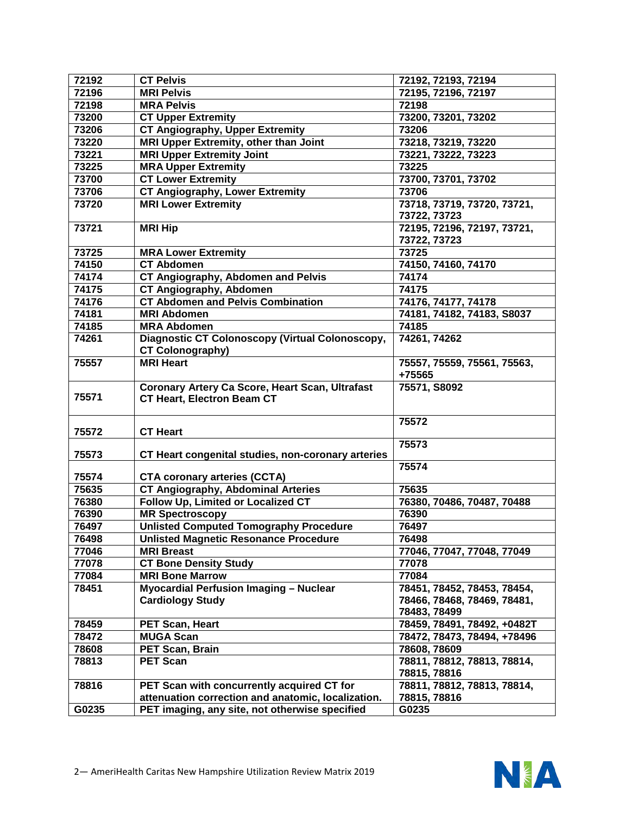| 72192 | <b>CT Pelvis</b>                                                           | 72192, 72193, 72194                   |
|-------|----------------------------------------------------------------------------|---------------------------------------|
| 72196 | <b>MRI Pelvis</b>                                                          | 72195, 72196, 72197                   |
| 72198 | <b>MRA Pelvis</b>                                                          | 72198                                 |
| 73200 | <b>CT Upper Extremity</b>                                                  | 73200, 73201, 73202                   |
| 73206 | <b>CT Angiography, Upper Extremity</b>                                     | 73206                                 |
| 73220 | MRI Upper Extremity, other than Joint                                      | 73218, 73219, 73220                   |
| 73221 | <b>MRI Upper Extremity Joint</b>                                           | 73221, 73222, 73223                   |
| 73225 | <b>MRA Upper Extremity</b>                                                 | 73225                                 |
| 73700 | <b>CT Lower Extremity</b>                                                  | 73700, 73701, 73702                   |
| 73706 | <b>CT Angiography, Lower Extremity</b>                                     | 73706                                 |
| 73720 | <b>MRI Lower Extremity</b>                                                 | 73718, 73719, 73720, 73721,           |
|       |                                                                            | 73722, 73723                          |
| 73721 | <b>MRI Hip</b>                                                             | 72195, 72196, 72197, 73721,           |
|       |                                                                            | 73722, 73723                          |
| 73725 | <b>MRA Lower Extremity</b>                                                 | 73725                                 |
| 74150 | <b>CT Abdomen</b>                                                          | 74150, 74160, 74170                   |
| 74174 | CT Angiography, Abdomen and Pelvis                                         | 74174                                 |
| 74175 | <b>CT Angiography, Abdomen</b>                                             | 74175                                 |
| 74176 | <b>CT Abdomen and Pelvis Combination</b>                                   | 74176, 74177, 74178                   |
| 74181 | <b>MRI Abdomen</b>                                                         |                                       |
|       |                                                                            | 74181, 74182, 74183, S8037            |
| 74185 | <b>MRA Abdomen</b>                                                         | 74185                                 |
| 74261 | Diagnostic CT Colonoscopy (Virtual Colonoscopy,<br><b>CT Colonography)</b> | 74261, 74262                          |
|       |                                                                            |                                       |
| 75557 | <b>MRI Heart</b>                                                           | 75557, 75559, 75561, 75563,<br>+75565 |
|       |                                                                            |                                       |
| 75571 | <b>Coronary Artery Ca Score, Heart Scan, Ultrafast</b>                     | 75571, S8092                          |
|       | <b>CT Heart, Electron Beam CT</b>                                          |                                       |
|       |                                                                            | 75572                                 |
| 75572 | <b>CT Heart</b>                                                            |                                       |
|       |                                                                            | 75573                                 |
| 75573 | CT Heart congenital studies, non-coronary arteries                         |                                       |
|       |                                                                            | 75574                                 |
| 75574 | <b>CTA coronary arteries (CCTA)</b>                                        |                                       |
| 75635 | <b>CT Angiography, Abdominal Arteries</b>                                  | 75635                                 |
| 76380 | Follow Up, Limited or Localized CT                                         | 76380, 70486, 70487, 70488            |
| 76390 | <b>MR Spectroscopy</b>                                                     | 76390                                 |
| 76497 | <b>Unlisted Computed Tomography Procedure</b>                              | 76497                                 |
| 76498 | <b>Unlisted Magnetic Resonance Procedure</b>                               | 76498                                 |
| 77046 | <b>MRI Breast</b>                                                          | 77046, 77047, 77048, 77049            |
| 77078 | <b>CT Bone Density Study</b>                                               | 77078                                 |
| 77084 | <b>MRI Bone Marrow</b>                                                     | 77084                                 |
| 78451 | <b>Myocardial Perfusion Imaging - Nuclear</b>                              | 78451, 78452, 78453, 78454,           |
|       | <b>Cardiology Study</b>                                                    | 78466, 78468, 78469, 78481,           |
|       |                                                                            | 78483, 78499                          |
| 78459 | <b>PET Scan, Heart</b>                                                     | 78459, 78491, 78492, +0482T           |
| 78472 | <b>MUGA Scan</b>                                                           | 78472, 78473, 78494, +78496           |
| 78608 | <b>PET Scan, Brain</b>                                                     | 78608, 78609                          |
| 78813 | <b>PET Scan</b>                                                            | 78811, 78812, 78813, 78814,           |
|       |                                                                            | 78815, 78816                          |
| 78816 | PET Scan with concurrently acquired CT for                                 | 78811, 78812, 78813, 78814,           |
|       | attenuation correction and anatomic, localization.                         | 78815, 78816                          |
| G0235 | PET imaging, any site, not otherwise specified                             | G0235                                 |
|       |                                                                            |                                       |